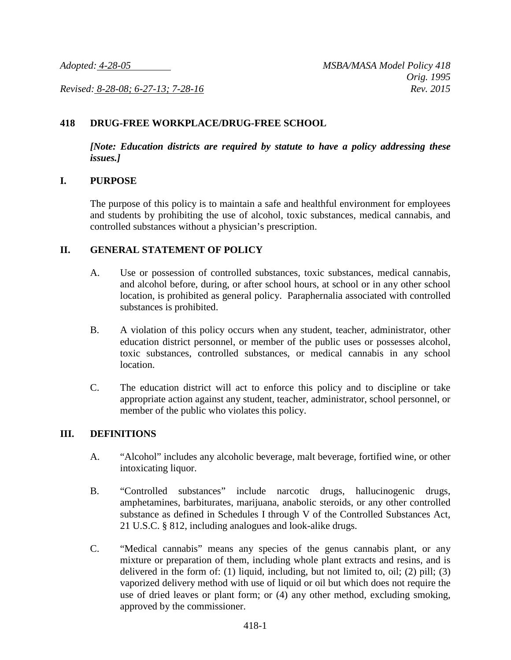*Revised: 8-28-08; 6-27-13; 7-28-16 Rev. 2015*

#### **418 DRUG-FREE WORKPLACE/DRUG-FREE SCHOOL**

*[Note: Education districts are required by statute to have a policy addressing these issues.]*

#### **I. PURPOSE**

The purpose of this policy is to maintain a safe and healthful environment for employees and students by prohibiting the use of alcohol, toxic substances, medical cannabis, and controlled substances without a physician's prescription.

#### **II. GENERAL STATEMENT OF POLICY**

- A. Use or possession of controlled substances, toxic substances, medical cannabis, and alcohol before, during, or after school hours, at school or in any other school location, is prohibited as general policy. Paraphernalia associated with controlled substances is prohibited.
- B. A violation of this policy occurs when any student, teacher, administrator, other education district personnel, or member of the public uses or possesses alcohol, toxic substances, controlled substances, or medical cannabis in any school location.
- C. The education district will act to enforce this policy and to discipline or take appropriate action against any student, teacher, administrator, school personnel, or member of the public who violates this policy.

#### **III. DEFINITIONS**

- A. "Alcohol" includes any alcoholic beverage, malt beverage, fortified wine, or other intoxicating liquor.
- B. "Controlled substances" include narcotic drugs, hallucinogenic drugs, amphetamines, barbiturates, marijuana, anabolic steroids, or any other controlled substance as defined in Schedules I through V of the Controlled Substances Act, 21 U.S.C. § 812, including analogues and look-alike drugs.
- C. "Medical cannabis" means any species of the genus cannabis plant, or any mixture or preparation of them, including whole plant extracts and resins, and is delivered in the form of: (1) liquid, including, but not limited to, oil; (2) pill; (3) vaporized delivery method with use of liquid or oil but which does not require the use of dried leaves or plant form; or (4) any other method, excluding smoking, approved by the commissioner.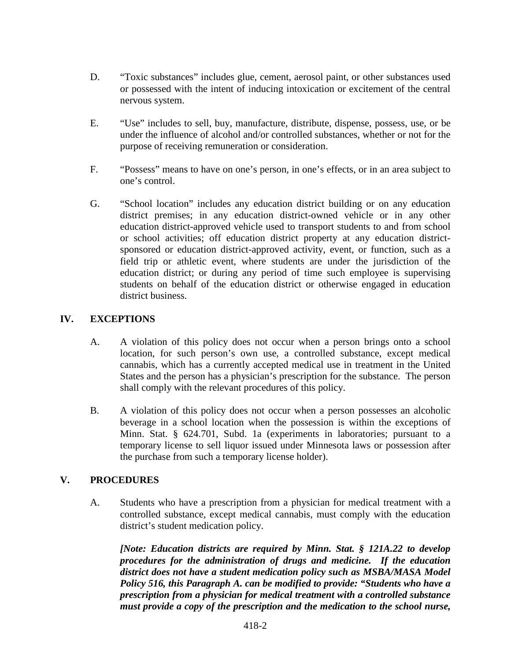- D. "Toxic substances" includes glue, cement, aerosol paint, or other substances used or possessed with the intent of inducing intoxication or excitement of the central nervous system.
- E. "Use" includes to sell, buy, manufacture, distribute, dispense, possess, use, or be under the influence of alcohol and/or controlled substances, whether or not for the purpose of receiving remuneration or consideration.
- F. "Possess" means to have on one's person, in one's effects, or in an area subject to one's control.
- G. "School location" includes any education district building or on any education district premises; in any education district-owned vehicle or in any other education district-approved vehicle used to transport students to and from school or school activities; off education district property at any education districtsponsored or education district-approved activity, event, or function, such as a field trip or athletic event, where students are under the jurisdiction of the education district; or during any period of time such employee is supervising students on behalf of the education district or otherwise engaged in education district business.

# **IV. EXCEPTIONS**

- A. A violation of this policy does not occur when a person brings onto a school location, for such person's own use, a controlled substance, except medical cannabis, which has a currently accepted medical use in treatment in the United States and the person has a physician's prescription for the substance. The person shall comply with the relevant procedures of this policy.
- B. A violation of this policy does not occur when a person possesses an alcoholic beverage in a school location when the possession is within the exceptions of Minn. Stat. § 624.701, Subd. 1a (experiments in laboratories; pursuant to a temporary license to sell liquor issued under Minnesota laws or possession after the purchase from such a temporary license holder).

# **V. PROCEDURES**

A. Students who have a prescription from a physician for medical treatment with a controlled substance, except medical cannabis, must comply with the education district's student medication policy.

*[Note: Education districts are required by Minn. Stat. § 121A.22 to develop procedures for the administration of drugs and medicine. If the education district does not have a student medication policy such as MSBA/MASA Model Policy 516, this Paragraph A. can be modified to provide: "Students who have a prescription from a physician for medical treatment with a controlled substance must provide a copy of the prescription and the medication to the school nurse,*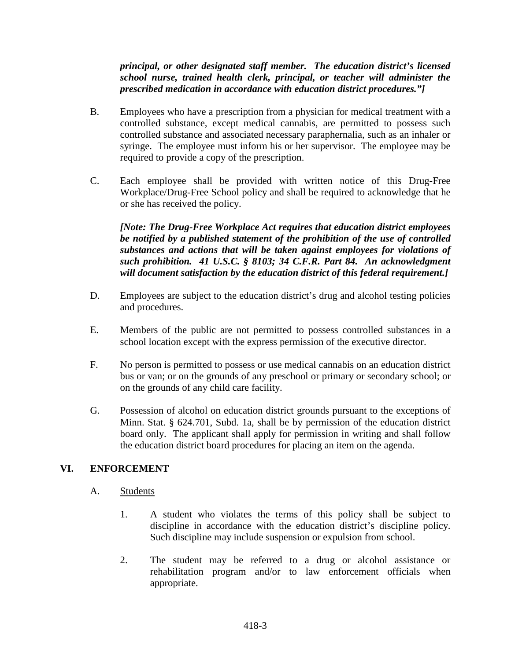# *principal, or other designated staff member. The education district's licensed school nurse, trained health clerk, principal, or teacher will administer the prescribed medication in accordance with education district procedures."]*

- B. Employees who have a prescription from a physician for medical treatment with a controlled substance, except medical cannabis, are permitted to possess such controlled substance and associated necessary paraphernalia, such as an inhaler or syringe. The employee must inform his or her supervisor. The employee may be required to provide a copy of the prescription.
- C. Each employee shall be provided with written notice of this Drug-Free Workplace/Drug-Free School policy and shall be required to acknowledge that he or she has received the policy.

*[Note: The Drug-Free Workplace Act requires that education district employees be notified by a published statement of the prohibition of the use of controlled substances and actions that will be taken against employees for violations of such prohibition. 41 U.S.C. § 8103; 34 C.F.R. Part 84. An acknowledgment will document satisfaction by the education district of this federal requirement.]*

- D. Employees are subject to the education district's drug and alcohol testing policies and procedures.
- E. Members of the public are not permitted to possess controlled substances in a school location except with the express permission of the executive director.
- F. No person is permitted to possess or use medical cannabis on an education district bus or van; or on the grounds of any preschool or primary or secondary school; or on the grounds of any child care facility.
- G. Possession of alcohol on education district grounds pursuant to the exceptions of Minn. Stat. § 624.701, Subd. 1a, shall be by permission of the education district board only. The applicant shall apply for permission in writing and shall follow the education district board procedures for placing an item on the agenda.

# **VI. ENFORCEMENT**

# A. Students

- 1. A student who violates the terms of this policy shall be subject to discipline in accordance with the education district's discipline policy. Such discipline may include suspension or expulsion from school.
- 2. The student may be referred to a drug or alcohol assistance or rehabilitation program and/or to law enforcement officials when appropriate.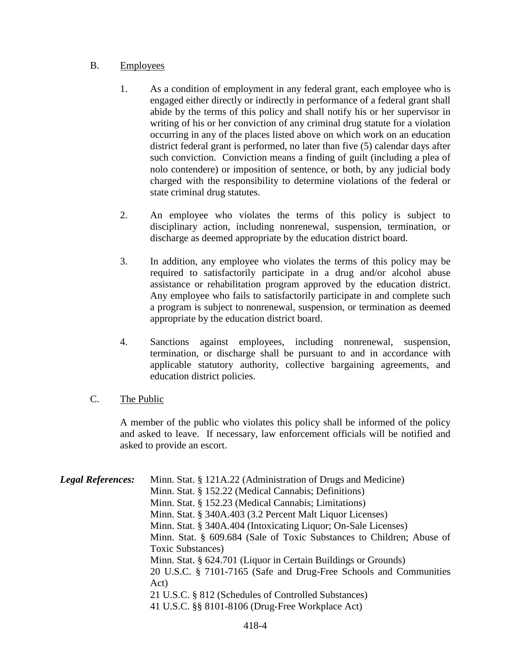#### B. Employees

- 1. As a condition of employment in any federal grant, each employee who is engaged either directly or indirectly in performance of a federal grant shall abide by the terms of this policy and shall notify his or her supervisor in writing of his or her conviction of any criminal drug statute for a violation occurring in any of the places listed above on which work on an education district federal grant is performed, no later than five (5) calendar days after such conviction. Conviction means a finding of guilt (including a plea of nolo contendere) or imposition of sentence, or both, by any judicial body charged with the responsibility to determine violations of the federal or state criminal drug statutes.
- 2. An employee who violates the terms of this policy is subject to disciplinary action, including nonrenewal, suspension, termination, or discharge as deemed appropriate by the education district board.
- 3. In addition, any employee who violates the terms of this policy may be required to satisfactorily participate in a drug and/or alcohol abuse assistance or rehabilitation program approved by the education district. Any employee who fails to satisfactorily participate in and complete such a program is subject to nonrenewal, suspension, or termination as deemed appropriate by the education district board.
- 4. Sanctions against employees, including nonrenewal, suspension, termination, or discharge shall be pursuant to and in accordance with applicable statutory authority, collective bargaining agreements, and education district policies.

# C. The Public

A member of the public who violates this policy shall be informed of the policy and asked to leave. If necessary, law enforcement officials will be notified and asked to provide an escort.

| <b>Legal References:</b> | Minn. Stat. § 121A.22 (Administration of Drugs and Medicine)          |
|--------------------------|-----------------------------------------------------------------------|
|                          | Minn. Stat. § 152.22 (Medical Cannabis; Definitions)                  |
|                          | Minn. Stat. § 152.23 (Medical Cannabis; Limitations)                  |
|                          | Minn. Stat. § 340A.403 (3.2 Percent Malt Liquor Licenses)             |
|                          | Minn. Stat. § 340A.404 (Intoxicating Liquor; On-Sale Licenses)        |
|                          | Minn. Stat. § 609.684 (Sale of Toxic Substances to Children; Abuse of |
|                          | Toxic Substances)                                                     |
|                          | Minn. Stat. § 624.701 (Liquor in Certain Buildings or Grounds)        |
|                          | 20 U.S.C. § 7101-7165 (Safe and Drug-Free Schools and Communities     |
|                          | Act)                                                                  |
|                          | 21 U.S.C. § 812 (Schedules of Controlled Substances)                  |
|                          | 41 U.S.C. §§ 8101-8106 (Drug-Free Workplace Act)                      |